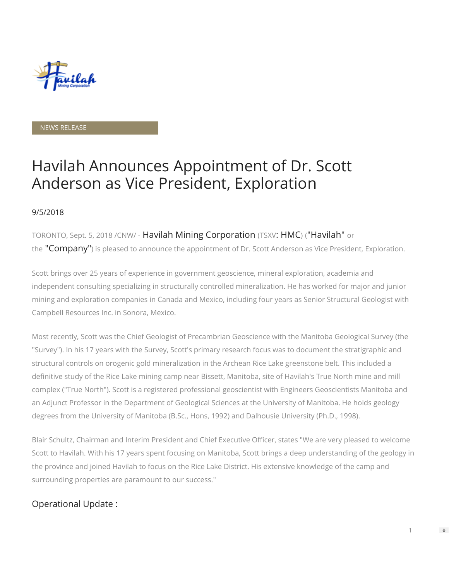

### NEWS RELEASE

# Havilah Announces Appointment of Dr. Scott Anderson as Vice President, Exploration

#### 9/5/2018

TORONTO, Sept. 5, 2018 /CNW/ - Havilah Mining Corporation (TSXV: HMC) ("Havilah" or the "Company") is pleased to announce the appointment of Dr. Scott Anderson as Vice President, Exploration.

Scott brings over 25 years of experience in government geoscience, mineral exploration, academia and independent consulting specializing in structurally controlled mineralization. He has worked for major and junior mining and exploration companies in Canada and Mexico, including four years as Senior Structural Geologist with Campbell Resources Inc. in Sonora, Mexico.

Most recently, Scott was the Chief Geologist of Precambrian Geoscience with the Manitoba Geological Survey (the "Survey"). In his 17 years with the Survey, Scott's primary research focus was to document the stratigraphic and structural controls on orogenic gold mineralization in the Archean Rice Lake greenstone belt. This included a definitive study of the Rice Lake mining camp near Bissett, Manitoba, site of Havilah's True North mine and mill complex ("True North"). Scott is a registered professional geoscientist with Engineers Geoscientists Manitoba and an Adjunct Professor in the Department of Geological Sciences at the University of Manitoba. He holds geology degrees from the University of Manitoba (B.Sc., Hons, 1992) and Dalhousie University (Ph.D., 1998).

Blair Schultz, Chairman and Interim President and Chief Executive Officer, states "We are very pleased to welcome Scott to Havilah. With his 17 years spent focusing on Manitoba, Scott brings a deep understanding of the geology in the province and joined Havilah to focus on the Rice Lake District. His extensive knowledge of the camp and surrounding properties are paramount to our success."

## Operational Update :

 $\Rightarrow$ 

1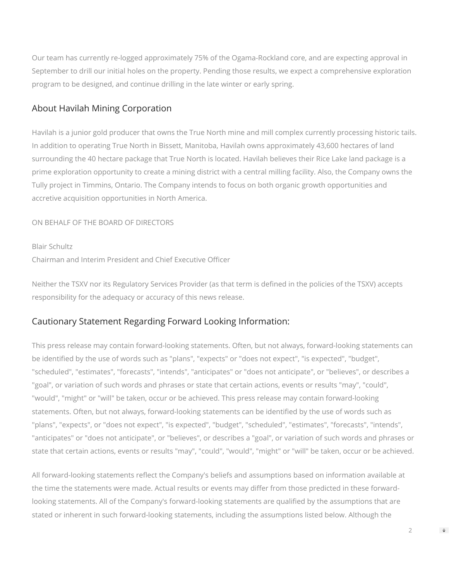Our team has currently re-logged approximately 75% of the Ogama-Rockland core, and are expecting approval in September to drill our initial holes on the property. Pending those results, we expect a comprehensive exploration program to be designed, and continue drilling in the late winter or early spring.

# About Havilah Mining Corporation

Havilah is a junior gold producer that owns the True North mine and mill complex currently processing historic tails. In addition to operating True North in Bissett, Manitoba, Havilah owns approximately 43,600 hectares of land surrounding the 40 hectare package that True North is located. Havilah believes their Rice Lake land package is a prime exploration opportunity to create a mining district with a central milling facility. Also, the Company owns the Tully project in Timmins, Ontario. The Company intends to focus on both organic growth opportunities and accretive acquisition opportunities in North America.

## ON BEHALF OF THE BOARD OF DIRECTORS

#### Blair Schultz

Chairman and Interim President and Chief Executive Officer

Neither the TSXV nor its Regulatory Services Provider (as that term is defined in the policies of the TSXV) accepts responsibility for the adequacy or accuracy of this news release.

# Cautionary Statement Regarding Forward Looking Information:

This press release may contain forward-looking statements. Often, but not always, forward-looking statements can be identified by the use of words such as "plans", "expects" or "does not expect", "is expected", "budget", "scheduled", "estimates", "forecasts", "intends", "anticipates" or "does not anticipate", or "believes", or describes a "goal", or variation of such words and phrases or state that certain actions, events or results "may", "could", "would", "might" or "will" be taken, occur or be achieved. This press release may contain forward-looking statements. Often, but not always, forward-looking statements can be identified by the use of words such as "plans", "expects", or "does not expect", "is expected", "budget", "scheduled", "estimates", "forecasts", "intends", "anticipates" or "does not anticipate", or "believes", or describes a "goal", or variation of such words and phrases or state that certain actions, events or results "may", "could", "would", "might" or "will" be taken, occur or be achieved.

All forward-looking statements reflect the Company's beliefs and assumptions based on information available at the time the statements were made. Actual results or events may differ from those predicted in these forwardlooking statements. All of the Company's forward-looking statements are qualified by the assumptions that are stated or inherent in such forward-looking statements, including the assumptions listed below. Although the

2

 $\Rightarrow$